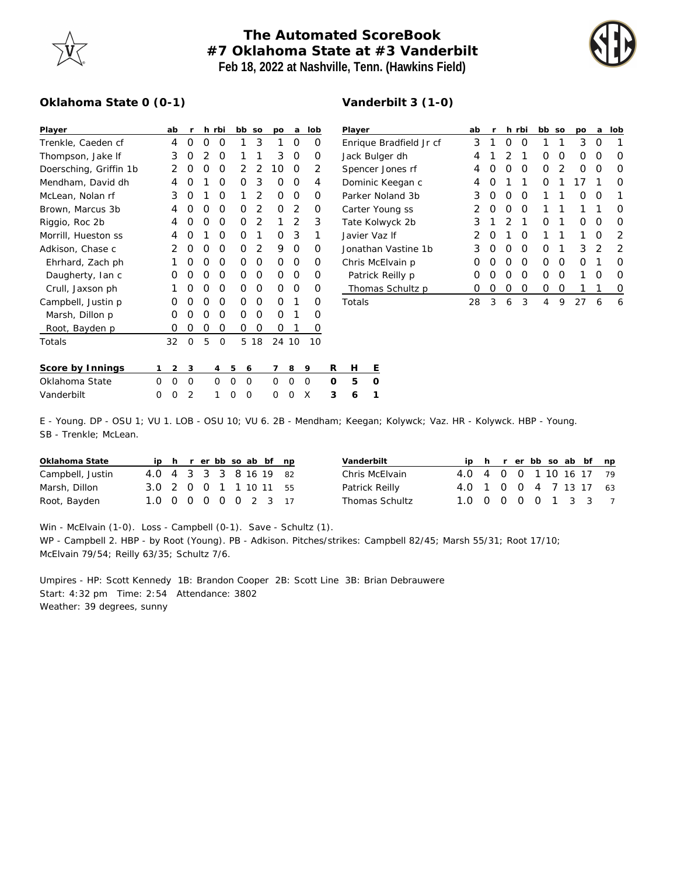

## **The Automated ScoreBook #7 Oklahoma State at #3 Vanderbilt Feb 18, 2022 at Nashville, Tenn. (Hawkins Field)**

**Vanderbilt 3 (1-0)**



## **Oklahoma State 0 (0-1)**

| Player                 |          | ab             | r        |                | h rbi |          | bb | SO             | DO       | a              | lob |          | Player    |   |  |
|------------------------|----------|----------------|----------|----------------|-------|----------|----|----------------|----------|----------------|-----|----------|-----------|---|--|
| Trenkle, Caeden cf     |          | 4              | O        | O              | Ο     |          | 1  | 3              | 1        | Ο              | Ο   |          | Enrique   |   |  |
| Thompson, Jake If      |          | 3              | O        | $\overline{2}$ | O     |          | 1  | 1              | 3        | Ο              | Ο   |          | Jack Bul  |   |  |
| Doersching, Griffin 1b |          | 2              | O        | O              | Ο     |          | 2  | 2              | 10       | Ο              | 2   |          | Spencer   |   |  |
| Mendham, David dh      |          | 4              | O        | 1              | O     |          | Ω  | 3              | O        | Ο              | 4   |          | Dominic   |   |  |
| McLean, Nolan rf       |          | 3              | O        | 1              | Ο     |          | 1  | $\mathcal{P}$  | O        | O              | Ο   |          | Parker N  |   |  |
| Brown, Marcus 3b       |          | 4              | O        | O              | O     |          | O  | 2              | $\Omega$ | 2              | Ο   |          | Carter Y  |   |  |
| Riggio, Roc 2b         |          | 4              | $\Omega$ | O              | O     |          | O  | $\overline{2}$ | 1        | $\overline{2}$ | 3   |          | Tate Kol  |   |  |
| Morrill, Hueston ss    |          | 4              | O        | 1              | O     |          | Ω  | 1              | O        | 3              | 1   |          | Javier Va |   |  |
| Adkison, Chase c       |          | 2              | O        | O              | O     |          | Ω  | 2              | 9        | Ο              | Ο   |          | Jonathar  |   |  |
| Ehrhard, Zach ph       |          | 1              | O        | O              | Ο     |          | O  | $\Omega$       | $\Omega$ | O              | O   |          | Chris Mo  |   |  |
| Daugherty, Ian c       |          | O              | O        | O              | O     |          | O  | O              | 0        | O              | Ο   |          | Patrick   |   |  |
| Crull, Jaxson ph       |          | 1              | Ω        | O              | O     |          | Ω  | O              | O        | O              | Ο   |          | Thoma     |   |  |
| Campbell, Justin p     |          | O              | Ο        | O              | Ο     |          | Ω  | O              | $\Omega$ | 1              | 0   |          | Totals    |   |  |
| Marsh, Dillon p        |          | O              | O        | O              | Ο     |          | Ο  | O              | O        | 1              | Ο   |          |           |   |  |
| Root, Bayden p         |          | 0              | O        | O              | Ο     |          | Ο  | O              | O        | 1              | 0   |          |           |   |  |
| Totals                 |          | 32             | 0        | 5              | 0     |          | 5  | 18             |          | 24 10          | 10  |          |           |   |  |
|                        |          |                |          |                |       |          |    |                |          |                |     |          |           |   |  |
| Score by Innings       | 1        | $\overline{2}$ | 3        |                | 4     | 5        | 6  |                | 7        | 8              | 9   | R        | Н         | Ε |  |
| Oklahoma State         | $\Omega$ | 0              | O        |                | 0     | $\Omega$ | 0  |                | 0        | 0              | O   | $\Omega$ | 5         | O |  |
| Vanderbilt             | $\Omega$ | $\Omega$       | 2        |                | 1     | Ω        | 0  |                | 0        | O              | X   | 3        | 6         | 1 |  |

| Player                  | ab | r                |                  | h rbi | bb               | SO | po | a | lob |
|-------------------------|----|------------------|------------------|-------|------------------|----|----|---|-----|
| Enrique Bradfield Jr cf | 3  | 1                | Ω                | O     |                  | 1  | 3  | Ω | 1   |
| Jack Bulger dh          | 4  | 1                | 2                | 1     | Ω                | Ω  | Ω  | Ω | 0   |
| Spencer Jones rf        | 4  | $\left( \right)$ | Ω                | O     | O                | 2  | Ω  | Ω | 0   |
| Dominic Keegan c        | 4  | $\left( \right)$ | 1                | 1     | Ω                |    | 17 |   |     |
| Parker Noland 3b        | 3  | Ω                | Ω                | O     | 1                | 1  | Ω  | Ω |     |
| Carter Young ss         | 2  | Ω                | Ω                | O     | 1                | 1  | 1  | 1 | 0   |
| Tate Kolwyck 2b         | 3  | 1                | $\mathcal{P}$    | 1     | Ω                | 1  | Ω  | Ω | Ω   |
| Javier Vaz If           | 2  | O                | 1                | O     | 1                | 1  | 1  | Ω | 2   |
| Jonathan Vastine 1b     | 3  | Ω                | Ω                | O     | Ω                | 1  | 3  | 2 | 2   |
| Chris McElvain p        | 0  | Ω                | Ω                | O     | ∩                | O  | Ω  | 1 | ∩   |
| Patrick Reilly p        | 0  | $\left( \right)$ | Ω                | O     | $\left( \right)$ | Ω  | 1  | Ω | 0   |
| Thomas Schultz p        | 0  | $\left( \right)$ | $\left( \right)$ | Ω     | Ω                | Ω  |    |   | 0   |
| Totals                  | 28 | 3                | 6                | 3     | 4                | 9  | 27 | 6 | 6   |

E - Young. DP - OSU 1; VU 1. LOB - OSU 10; VU 6. 2B - Mendham; Keegan; Kolywck; Vaz. HR - Kolywck. HBP - Young. SB - Trenkle; McLean.

| Oklahoma State   |                        |  |  |  | ip h r er bb so ab bf np |  |
|------------------|------------------------|--|--|--|--------------------------|--|
| Campbell, Justin | 4.0 4 3 3 3 8 16 19 82 |  |  |  |                          |  |
| Marsh, Dillon    | 3.0 2 0 0 1 1 10 11 55 |  |  |  |                          |  |
| Root, Bayden     | 1.0 0 0 0 0 0 2 3 17   |  |  |  |                          |  |

| Vanderbilt     |                         |  |  |  | ip h r er bb so ab bf np |
|----------------|-------------------------|--|--|--|--------------------------|
| Chris McElvain | 4.0 4 0 0 1 10 16 17 79 |  |  |  |                          |
| Patrick Reilly | 4.0 1 0 0 4 7 13 17 63  |  |  |  |                          |
| Thomas Schultz | 1.0 0 0 0 0 1 3 3 7     |  |  |  |                          |

Win - McElvain (1-0). Loss - Campbell (0-1). Save - Schultz (1). WP - Campbell 2. HBP - by Root (Young). PB - Adkison. Pitches/strikes: Campbell 82/45; Marsh 55/31; Root 17/10; McElvain 79/54; Reilly 63/35; Schultz 7/6.

Umpires - HP: Scott Kennedy 1B: Brandon Cooper 2B: Scott Line 3B: Brian Debrauwere Start: 4:32 pm Time: 2:54 Attendance: 3802 Weather: 39 degrees, sunny